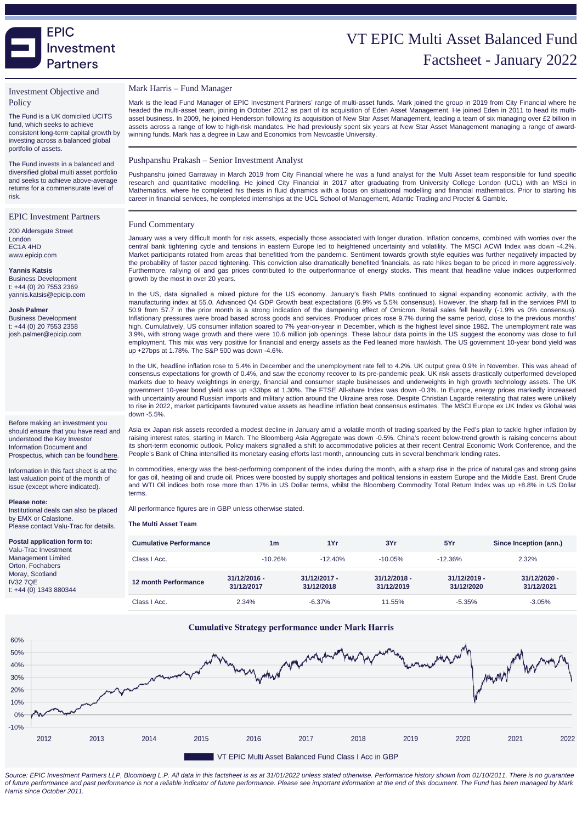# VT EPIC Multi Asset Balanced Fur Factsheet - January 20

### Investment Objective and **Policy**

The Fund is a UK domiciled UCITS fund, which seeks to achieve consistent long-term capital growth by investing across a balanced global portfolio of assets.

The Fund invests in a balanced and diversified global multi asset portfolio and seeks to achieve above-average returns for a commensurate level of risk.

#### EPIC Investment Partners

200 Aldersgate Street London EC1A 4HD www.epicip.com

Yannis Katsis Business Development t: +44 (0) 20 7553 2369 yannis.katsis@epicip.com

Josh Palmer Business Development t: +44 (0) 20 7553 2358 josh.palmer@epicip.com

Before making an investment you should ensure that you have read and understood the Key Investor Information Document and Prospectus, which can be found [here.](https://www.epicip.com/markets/EpicipMultiAssetGrowthFund)

Information in this fact sheet is at the last valuation point of the month of issue (except where indicated).

#### Please note:

Institutional deals can also be placed by EMX or Calastone. Please contact Valu-Trac for details.

Postal application form to: Valu-Trac Investment Management Limited Orton, Fochabers Moray, Scotland IV32 7QE t: +44 (0) 1343 880344

#### Mark Harris – Fund Manager

Mark is the lead Fund Manager of EPIC Investment Partners' range of multi-asset funds. Mark joined the group in 2019 from City Financial where he headed the multi-asset team, joining in October 2012 as part of its acquisition of Eden Asset Management. He joined Eden in 2011 to head its multiasset business. In 2009, he joined Henderson following its acquisition of New Star Asset Management, leading a team of six managing over £2 billion in assets across a range of low to high-risk mandates. He had previously spent six years at New Star Asset Management managing a range of awardwinning funds. Mark has a degree in Law and Economics from Newcastle University.

### Pushpanshu Prakash – Senior Investment Analyst

Pushpanshu joined Garraway in March 2019 from City Financial where he was a fund analyst for the Multi Asset team responsible for fund specific research and quantitative modelling. He joined City Financial in 2017 after graduating from University College London (UCL) with an MSci in Mathematics, where he completed his thesis in fluid dynamics with a focus on situational modelling and financial mathematics. Prior to starting his career in financial services, he completed internships at the UCL School of Management, Atlantic Trading and Procter & Gamble.

### Fund Commentary

January was a very difficult month for risk assets, especially those associated with longer duration. Inflation concerns, combined with worries over the central bank tightening cycle and tensions in eastern Europe led to heightened uncertainty and volatility. The MSCI ACWI Index was down -4.2%. Market participants rotated from areas that benefitted from the pandemic. Sentiment towards growth style equities was further negatively impacted by the probability of faster paced tightening. This conviction also dramatically benefited financials, as rate hikes began to be priced in more aggressively. Furthermore, rallying oil and gas prices contributed to the outperformance of energy stocks. This meant that headline value indices outperformed growth by the most in over 20 years.

In the US, data signalled a mixed picture for the US economy. January's flash PMIs continued to signal expanding economic activity, with the manufacturing index at 55.0. Advanced Q4 GDP Growth beat expectations (6.9% vs 5.5% consensus). However, the sharp fall in the services PMI to 50.9 from 57.7 in the prior month is a strong indication of the dampening effect of Omicron. Retail sales fell heavily (-1.9% vs 0% consensus). Inflationary pressures were broad based across goods and services. Producer prices rose 9.7% during the same period, close to the previous months' high. Cumulatively, US consumer inflation soared to 7% year-on-year in December, which is the highest level since 1982. The unemployment rate was 3.9%, with strong wage growth and there were 10.6 million job openings. These labour data points in the US suggest the economy was close to full employment. This mix was very positive for financial and energy assets as the Fed leaned more hawkish. The US government 10-year bond yield was up +27bps at 1.78%. The S&P 500 was down -4.6%.

In the UK, headline inflation rose to 5.4% in December and the unemployment rate fell to 4.2%. UK output grew 0.9% in November. This was ahead of consensus expectations for growth of 0.4%, and saw the economy recover to its pre-pandemic peak. UK risk assets drastically outperformed developed markets due to heavy weightings in energy, financial and consumer staple businesses and underweights in high growth technology assets. The UK government 10-year bond yield was up +33bps at 1.30%. The FTSE All-share Index was down -0.3%. In Europe, energy prices markedly increased with uncertainty around Russian imports and military action around the Ukraine area rose. Despite Christian Lagarde reiterating that rates were unlikely to rise in 2022, market participants favoured value assets as headline inflation beat consensus estimates. The MSCI Europe ex UK Index vs Global was down -5.5%.

Asia ex Japan risk assets recorded a modest decline in January amid a volatile month of trading sparked by the Fed's plan to tackle higher inflation by raising interest rates, starting in March. The Bloomberg Asia Aggregate was down -0.5%. China's recent below-trend growth is raising concerns about its short-term economic outlook. Policy makers signalled a shift to accommodative policies at their recent Central Economic Work Conference, and the People's Bank of China intensified its monetary easing efforts last month, announcing cuts in several benchmark lending rates.

In commodities, energy was the best-performing component of the index during the month, with a sharp rise in the price of natural gas and strong gains for gas oil, heating oil and crude oil. Prices were boosted by supply shortages and political tensions in eastern Europe and the Middle East. Brent and WTI Oil indices both rose more than 17% in US Dollar terms, whilst the Bloomberg Commodity Total Return Index was up +8.8% in US Dollar terms.

All performance figures are in GBP unless otherwise stated.

| The Multi Asset Team   |                              |                              |                              |                              |                              |
|------------------------|------------------------------|------------------------------|------------------------------|------------------------------|------------------------------|
| Cumulative Performance | 1 <sub>m</sub>               | 1Yr                          | 3Yr                          | 5Yr                          | Since Inception (ann.)       |
| Class   Acc.           | $-10.26%$                    | $-12.40%$                    | $-10.05%$                    | $-12.36%$                    | 2.32%                        |
| 12 month Performance   | $31/12/2016 -$<br>31/12/2017 | $31/12/2017 -$<br>31/12/2018 | $31/12/2018 -$<br>31/12/2019 | $31/12/2019 -$<br>31/12/2020 | $31/12/2020 -$<br>31/12/2021 |
| Class   Acc.           | 2.34%                        | $-6.37\%$                    | 11.55%                       | $-5.35%$                     | $-3.05%$                     |

Source: EPIC Investment Partners LLP, Bloomberg L.P. All data in this factsheet is as at 31/01/2022 unless stated otherwise. Performance history shown from 01/10/2011. There is no quarantee of future performance and past performance is not a reliable indicator of future performance. Please see important information at the end of this document. The Fund has been managed by Mark Harris since October 2011.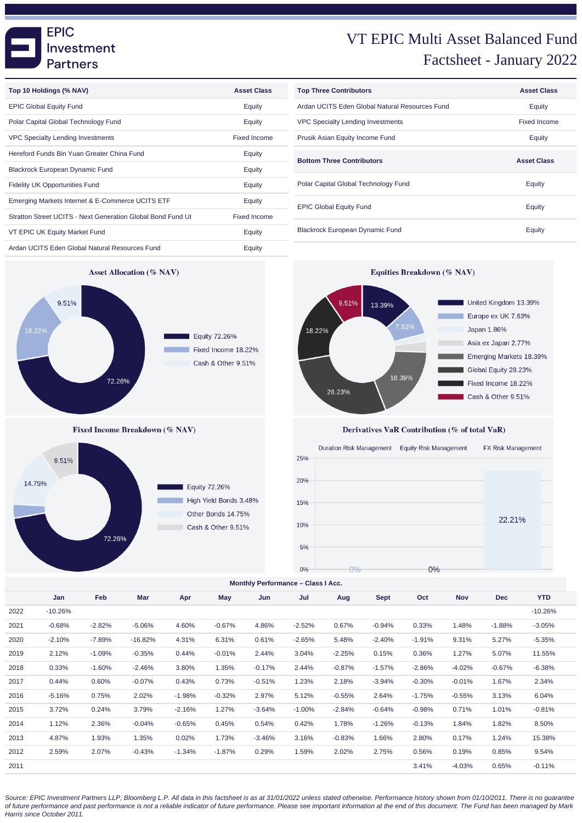

Derivatives VaR Contribution (% of total VaR)



**Monthly Performance – Class I Acc.**

|      | Jan       | Feb      | Mar       | Apr      | May      | Jun      | Jul      | Aug      | <b>Sept</b> | Oct      | <b>Nov</b> | <b>Dec</b> | <b>YTD</b> |
|------|-----------|----------|-----------|----------|----------|----------|----------|----------|-------------|----------|------------|------------|------------|
| 2022 | $-10.26%$ |          |           |          |          |          |          |          |             |          |            |            | $-10.26%$  |
| 2021 | $-0.68%$  | $-2.82%$ | $-5.06%$  | 4.60%    | $-0.67%$ | 4.86%    | $-2.52%$ | 0.67%    | $-0.94%$    | 0.33%    | 1.48%      | $-1.88%$   | $-3.05%$   |
| 2020 | $-2.10%$  | $-7.89%$ | $-16.82%$ | 4.31%    | 6.31%    | 0.61%    | $-2.65%$ | 5.48%    | $-2.40%$    | $-1.91%$ | 9.31%      | 5.27%      | $-5.35%$   |
| 2019 | 2.12%     | $-1.09%$ | $-0.35%$  | 0.44%    | $-0.01%$ | 2.44%    | 3.04%    | $-2.25%$ | 0.15%       | 0.36%    | 1.27%      | 5.07%      | 11.55%     |
| 2018 | 0.33%     | $-1.60%$ | $-2.46%$  | 3.80%    | 1.35%    | $-0.17%$ | 2.44%    | $-0.87%$ | $-1.57%$    | $-2.86%$ | $-4.02%$   | $-0.67%$   | $-6.38%$   |
| 2017 | 0.44%     | 0.60%    | $-0.07%$  | 0.43%    | 0.73%    | $-0.51%$ | 1.23%    | 2.18%    | $-3.94%$    | $-0.30%$ | $-0.01%$   | 1.67%      | 2.34%      |
| 2016 | $-5.16%$  | 0.75%    | 2.02%     | $-1.98%$ | $-0.32%$ | 2.97%    | 5.12%    | $-0.55%$ | 2.64%       | $-1.75%$ | $-0.55%$   | 3.13%      | 6.04%      |
| 2015 | 3.72%     | 0.24%    | 3.79%     | $-2.16%$ | 1.27%    | $-3.64%$ | $-1.00%$ | $-2.84%$ | $-0.64%$    | $-0.98%$ | 0.71%      | 1.01%      | $-0.81%$   |
| 2014 | 1.12%     | 2.36%    | $-0.04%$  | $-0.65%$ | 0.45%    | 0.54%    | 0.42%    | 1.78%    | $-1.26%$    | $-0.13%$ | 1.84%      | 1.82%      | 8.50%      |
| 2013 | 4.87%     | 1.93%    | 1.35%     | 0.02%    | 1.73%    | $-3.46%$ | 3.16%    | $-0.83%$ | 1.66%       | 2.80%    | 0.17%      | 1.24%      | 15.38%     |
| 2012 | 2.59%     | 2.07%    | $-0.43%$  | $-1.34%$ | $-1.87%$ | 0.29%    | 1.59%    | 2.02%    | 2.75%       | 0.56%    | 0.19%      | 0.85%      | 9.54%      |
| 2011 |           |          |           |          |          |          |          |          |             | 3.41%    | $-4.03%$   | 0.65%      | $-0.11%$   |

Source: EPIC Investment Partners LLP, Bloomberg L.P. All data in this factsheet is as at 31/01/2022 unless stated otherwise. Performance history shown from 01/10/2011. There is no guarantee of future performance and past performance is not a reliable indicator of future performance. Please see important information at the end of this document. The Fund has been managed by Mark Harris since October 2011.

# VT EPIC Multi Asset Balanced Fund Factsheet - January 2022

United Kingdom 13.39%

Europe ex UK 7.63%

Asia ex Japan 2.77%

Global Equity 28.23%

Fixed Income 18.22%

Cash & Other 9.51%

Emerging Markets 18.39%

Japan 1.86%

| <b>Top Three Contributors</b>                  | <b>Asset Class</b>  |
|------------------------------------------------|---------------------|
| Ardan UCITS Eden Global Natural Resources Fund | Equity              |
| <b>VPC Specialty Lending Investments</b>       | <b>Fixed Income</b> |
| Prusik Asian Equity Income Fund                | Equity              |
| <b>Bottom Three Contributors</b>               | <b>Asset Class</b>  |
| Polar Capital Global Technology Fund           | Equity              |
| <b>EPIC Global Equity Fund</b>                 | Equity              |
| <b>Blackrock European Dynamic Fund</b>         | Equity              |



| Top 10 Holdings (% NAV)                                     | <b>Asset Class</b> |
|-------------------------------------------------------------|--------------------|
| <b>EPIC Global Equity Fund</b>                              | Equity             |
| Polar Capital Global Technology Fund                        | Equity             |
| <b>VPC Specialty Lending Investments</b>                    | Fixed Income       |
| Hereford Funds Bin Yuan Greater China Fund                  | Equity             |
| <b>Blackrock European Dynamic Fund</b>                      | Equity             |
| <b>Fidelity UK Opportunities Fund</b>                       | Equity             |
| Emerging Markets Internet & E-Commerce UCITS ETF            | Equity             |
| Stratton Street UCITS - Next Generation Global Bond Fund UI | Fixed Income       |
| VT EPIC UK Equity Market Fund                               | Equity             |
| Ardan UCITS Eden Global Natural Resources Fund              | Equity             |

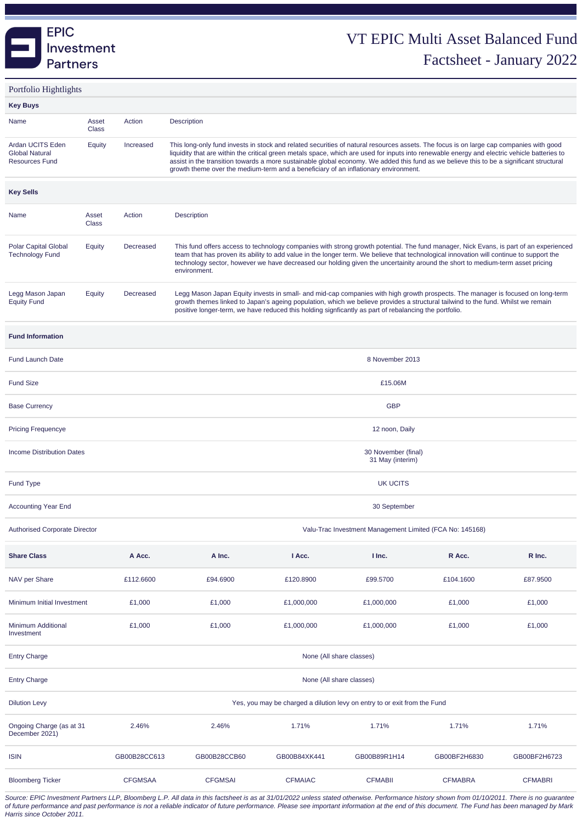

Portfolio Hightlights

| <b>Key Buys</b>                                                    |                                                                                                  |                                                                           |                                                                                                                                                                                                                                                                                                                                                                                                                                                                                                                           |                |                |                |                |  |  |  |  |
|--------------------------------------------------------------------|--------------------------------------------------------------------------------------------------|---------------------------------------------------------------------------|---------------------------------------------------------------------------------------------------------------------------------------------------------------------------------------------------------------------------------------------------------------------------------------------------------------------------------------------------------------------------------------------------------------------------------------------------------------------------------------------------------------------------|----------------|----------------|----------------|----------------|--|--|--|--|
| Name                                                               | Asset<br><b>Class</b>                                                                            | Action                                                                    | Description                                                                                                                                                                                                                                                                                                                                                                                                                                                                                                               |                |                |                |                |  |  |  |  |
| Ardan UCITS Eden<br><b>Global Natural</b><br><b>Resources Fund</b> | Equity                                                                                           | Increased                                                                 | This long-only fund invests in stock and related securities of natural resources assets. The focus is on large cap companies with good<br>liquidity that are within the critical green metals space, which are used for inputs into renewable energy and electric vehicle batteries to<br>assist in the transition towards a more sustainable global economy. We added this fund as we believe this to be a significant structural<br>growth theme over the medium-term and a beneficiary of an inflationary environment. |                |                |                |                |  |  |  |  |
| <b>Key Sells</b>                                                   |                                                                                                  |                                                                           |                                                                                                                                                                                                                                                                                                                                                                                                                                                                                                                           |                |                |                |                |  |  |  |  |
| Name                                                               | Asset<br>Class                                                                                   | Action                                                                    | <b>Description</b>                                                                                                                                                                                                                                                                                                                                                                                                                                                                                                        |                |                |                |                |  |  |  |  |
| <b>Polar Capital Global</b><br><b>Technology Fund</b>              | Equity                                                                                           | Decreased                                                                 | This fund offers access to technology companies with strong growth potential. The fund manager, Nick Evans, is part of an experienced<br>team that has proven its ability to add value in the longer term. We believe that technological innovation will continue to support the<br>technology sector, however we have decreased our holding given the uncertainity around the short to medium-term asset pricing<br>environment.                                                                                         |                |                |                |                |  |  |  |  |
| Legg Mason Japan<br><b>Equity Fund</b>                             | Equity                                                                                           | Decreased                                                                 | Legg Mason Japan Equity invests in small- and mid-cap companies with high growth prospects. The manager is focused on long-term<br>growth themes linked to Japan's ageing population, which we believe provides a structural tailwind to the fund. Whilst we remain<br>positive longer-term, we have reduced this holding signficantly as part of rebalancing the portfolio.                                                                                                                                              |                |                |                |                |  |  |  |  |
| <b>Fund Information</b>                                            |                                                                                                  |                                                                           |                                                                                                                                                                                                                                                                                                                                                                                                                                                                                                                           |                |                |                |                |  |  |  |  |
| <b>Fund Launch Date</b>                                            | 8 November 2013                                                                                  |                                                                           |                                                                                                                                                                                                                                                                                                                                                                                                                                                                                                                           |                |                |                |                |  |  |  |  |
| <b>Fund Size</b>                                                   |                                                                                                  |                                                                           | £15.06M                                                                                                                                                                                                                                                                                                                                                                                                                                                                                                                   |                |                |                |                |  |  |  |  |
| <b>Base Currency</b>                                               | <b>GBP</b>                                                                                       |                                                                           |                                                                                                                                                                                                                                                                                                                                                                                                                                                                                                                           |                |                |                |                |  |  |  |  |
| <b>Pricing Frequencye</b>                                          | 12 noon, Daily                                                                                   |                                                                           |                                                                                                                                                                                                                                                                                                                                                                                                                                                                                                                           |                |                |                |                |  |  |  |  |
| <b>Income Distribution Dates</b>                                   | 30 November (final)<br>31 May (interim)                                                          |                                                                           |                                                                                                                                                                                                                                                                                                                                                                                                                                                                                                                           |                |                |                |                |  |  |  |  |
| <b>Fund Type</b>                                                   | <b>UK UCITS</b>                                                                                  |                                                                           |                                                                                                                                                                                                                                                                                                                                                                                                                                                                                                                           |                |                |                |                |  |  |  |  |
| <b>Accounting Year End</b>                                         |                                                                                                  |                                                                           |                                                                                                                                                                                                                                                                                                                                                                                                                                                                                                                           |                | 30 September   |                |                |  |  |  |  |
|                                                                    | <b>Authorised Corporate Director</b><br>Valu-Trac Investment Management Limited (FCA No: 145168) |                                                                           |                                                                                                                                                                                                                                                                                                                                                                                                                                                                                                                           |                |                |                |                |  |  |  |  |
| <b>Share Class</b>                                                 |                                                                                                  | A Acc.                                                                    | A Inc.                                                                                                                                                                                                                                                                                                                                                                                                                                                                                                                    | I Acc.         | I Inc.         | R Acc.         | R Inc.         |  |  |  |  |
| NAV per Share                                                      |                                                                                                  | £112.6600                                                                 | £94.6900                                                                                                                                                                                                                                                                                                                                                                                                                                                                                                                  | £120.8900      | £99.5700       | £104.1600      | £87.9500       |  |  |  |  |
| Minimum Initial Investment                                         |                                                                                                  | £1,000                                                                    | £1,000                                                                                                                                                                                                                                                                                                                                                                                                                                                                                                                    | £1,000,000     | £1,000,000     | £1,000         | £1,000         |  |  |  |  |
| <b>Minimum Additional</b><br>Investment                            |                                                                                                  | £1,000                                                                    | £1,000                                                                                                                                                                                                                                                                                                                                                                                                                                                                                                                    | £1,000,000     | £1,000,000     | £1,000         | £1,000         |  |  |  |  |
| <b>Entry Charge</b>                                                |                                                                                                  | None (All share classes)                                                  |                                                                                                                                                                                                                                                                                                                                                                                                                                                                                                                           |                |                |                |                |  |  |  |  |
| <b>Entry Charge</b>                                                |                                                                                                  | None (All share classes)                                                  |                                                                                                                                                                                                                                                                                                                                                                                                                                                                                                                           |                |                |                |                |  |  |  |  |
| <b>Dilution Levy</b>                                               |                                                                                                  | Yes, you may be charged a dilution levy on entry to or exit from the Fund |                                                                                                                                                                                                                                                                                                                                                                                                                                                                                                                           |                |                |                |                |  |  |  |  |
| Ongoing Charge (as at 31<br>December 2021)                         | 2.46%<br>2.46%<br>1.71%<br>1.71%<br>1.71%                                                        |                                                                           |                                                                                                                                                                                                                                                                                                                                                                                                                                                                                                                           |                |                | 1.71%          |                |  |  |  |  |
| <b>ISIN</b>                                                        |                                                                                                  | GB00B28CC613                                                              | GB00B28CCB60                                                                                                                                                                                                                                                                                                                                                                                                                                                                                                              | GB00B84XK441   | GB00B89R1H14   | GB00BF2H6830   | GB00BF2H6723   |  |  |  |  |
| <b>Bloomberg Ticker</b>                                            |                                                                                                  | <b>CFGMSAA</b>                                                            | <b>CFGMSAI</b>                                                                                                                                                                                                                                                                                                                                                                                                                                                                                                            | <b>CFMAIAC</b> | <b>CFMABII</b> | <b>CFMABRA</b> | <b>CFMABRI</b> |  |  |  |  |

Source: EPIC Investment Partners LLP, Bloomberg L.P. All data in this factsheet is as at 31/01/2022 unless stated otherwise. Performance history shown from 01/10/2011. There is no guarantee of future performance and past performance is not a reliable indicator of future performance. Please see important information at the end of this document. The Fund has been managed by Mark Harris since October 2011.